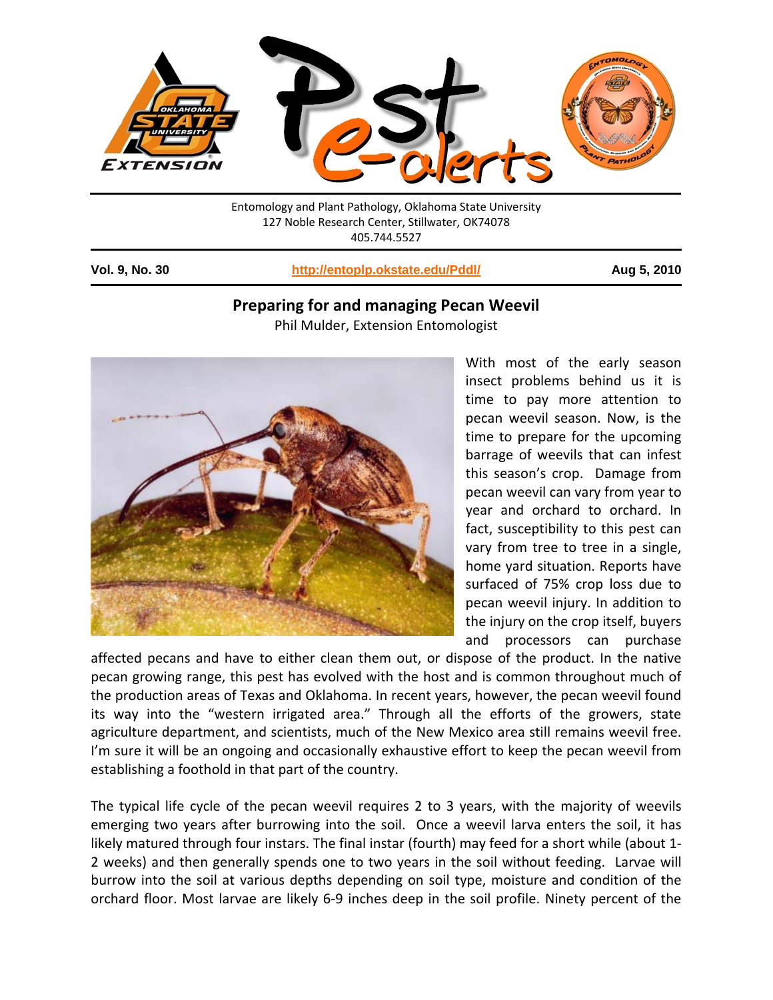

Entomology and Plant Pathology, Oklahoma State University 127 Noble Research Center, Stillwater, OK74078 405.744.5527

1

**Vol. 9, No. 30 http://entoplp.okstate.edu/Pddl/ Aug 5, 2010**

## **Preparing for and managing Pecan Weevil**

Phil Mulder, Extension Entomologist



With most of the early season insect problems behind us it is time to pay more attention to pecan weevil season. Now, is the time to prepare for the upcoming barrage of weevils that can infest this season's crop. Damage from pecan weevil can vary from year to year and orchard to orchard. In fact, susceptibility to this pest can vary from tree to tree in a single, home yard situation. Reports have surfaced of 75% crop loss due to pecan weevil injury. In addition to the injury on the crop itself, buyers and processors can purchase

affected pecans and have to either clean them out, or dispose of the product. In the native pecan growing range, this pest has evolved with the host and is common throughout much of the production areas of Texas and Oklahoma. In recent years, however, the pecan weevil found its way into the "western irrigated area." Through all the efforts of the growers, state agriculture department, and scientists, much of the New Mexico area still remains weevil free. I'm sure it will be an ongoing and occasionally exhaustive effort to keep the pecan weevil from establishing a foothold in that part of the country.

The typical life cycle of the pecan weevil requires 2 to 3 years, with the majority of weevils emerging two years after burrowing into the soil. Once a weevil larva enters the soil, it has likely matured through four instars. The final instar (fourth) may feed for a short while (about 1‐ 2 weeks) and then generally spends one to two years in the soil without feeding. Larvae will burrow into the soil at various depths depending on soil type, moisture and condition of the orchard floor. Most larvae are likely 6‐9 inches deep in the soil profile. Ninety percent of the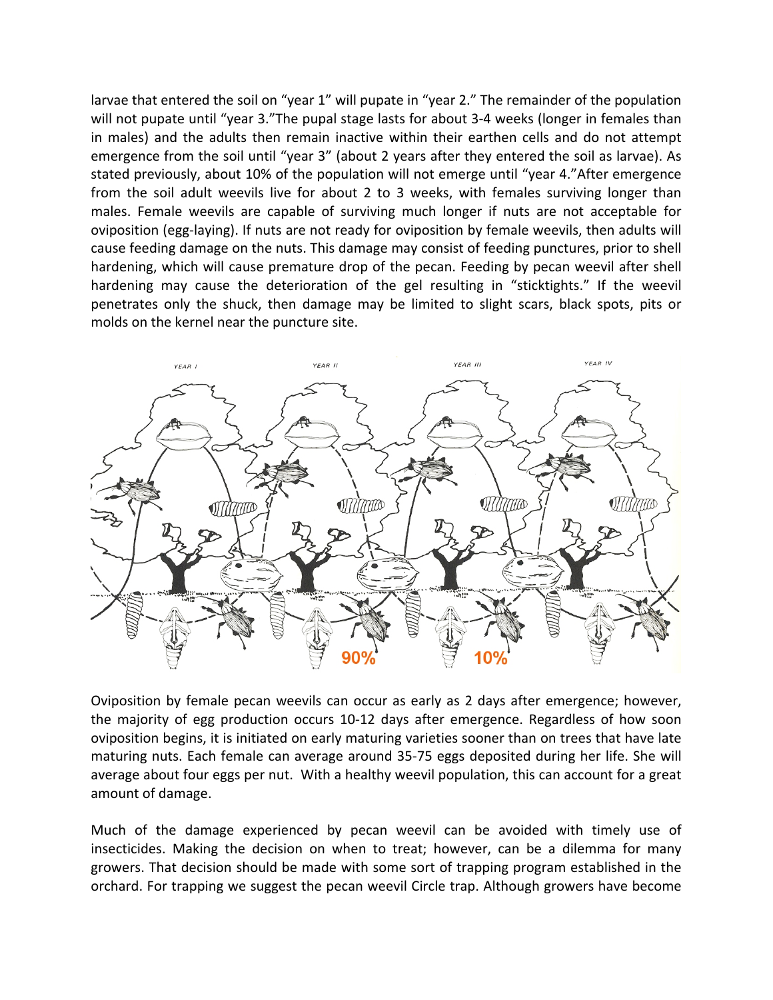larvae that entered the soil on "year 1" will pupate in "year 2." The remainder of the population will not pupate until "year 3."The pupal stage lasts for about 3-4 weeks (longer in females than in males) and the adults then remain inactive within their earthen cells and do not attempt emergence from the soil until "year 3" (about 2 years after they entered the soil as larvae). As stated previously, about 10% of the population will not emerge until "year 4."After emergence from the soil adult weevils live for about 2 to 3 weeks, with females surviving longer than males. Female weevils are capable of surviving much longer if nuts are not acceptable for oviposition (egg‐laying). If nuts are not ready for oviposition by female weevils, then adults will cause feeding damage on the nuts. This damage may consist of feeding punctures, prior to shell hardening, which will cause premature drop of the pecan. Feeding by pecan weevil after shell hardening may cause the deterioration of the gel resulting in "sticktights." If the weevil penetrates only the shuck, then damage may be limited to slight scars, black spots, pits or molds on the kernel near the puncture site.



Oviposition by female pecan weevils can occur as early as 2 days after emergence; however, the majority of egg production occurs 10‐12 days after emergence. Regardless of how soon oviposition begins, it is initiated on early maturing varieties sooner than on trees that have late maturing nuts. Each female can average around 35‐75 eggs deposited during her life. She will average about four eggs per nut. With a healthy weevil population, this can account for a great amount of damage.

Much of the damage experienced by pecan weevil can be avoided with timely use of insecticides. Making the decision on when to treat; however, can be a dilemma for many growers. That decision should be made with some sort of trapping program established in the orchard. For trapping we suggest the pecan weevil Circle trap. Although growers have become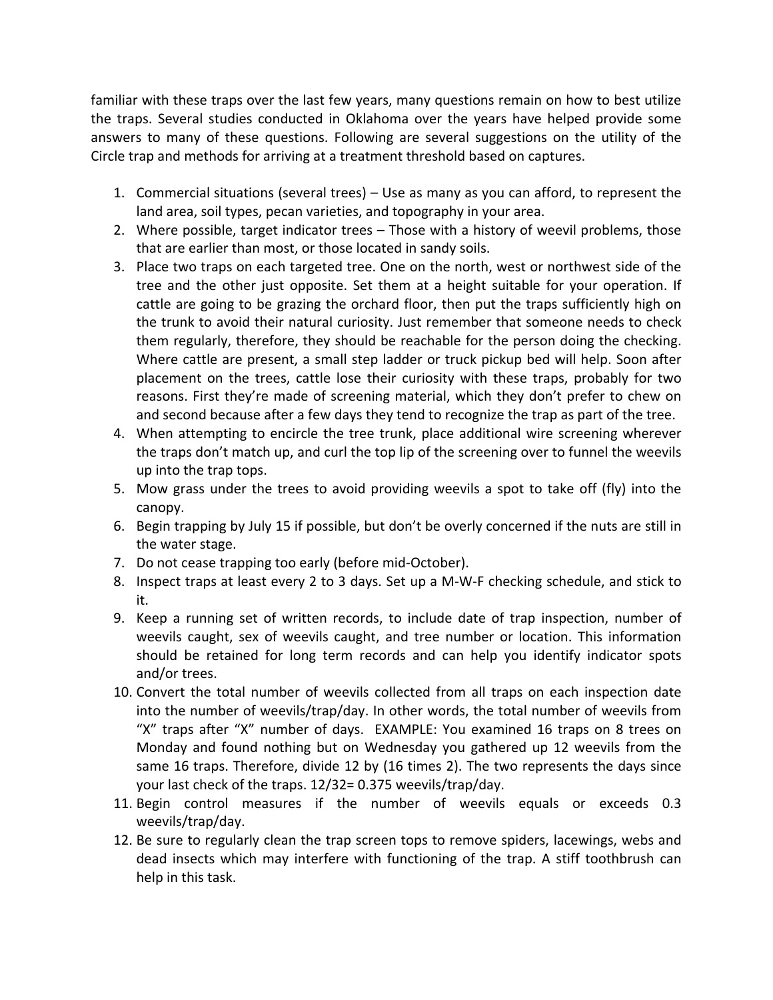familiar with these traps over the last few years, many questions remain on how to best utilize the traps. Several studies conducted in Oklahoma over the years have helped provide some answers to many of these questions. Following are several suggestions on the utility of the Circle trap and methods for arriving at a treatment threshold based on captures.

- 1. Commercial situations (several trees) Use as many as you can afford, to represent the land area, soil types, pecan varieties, and topography in your area.
- 2. Where possible, target indicator trees Those with a history of weevil problems, those that are earlier than most, or those located in sandy soils.
- 3. Place two traps on each targeted tree. One on the north, west or northwest side of the tree and the other just opposite. Set them at a height suitable for your operation. If cattle are going to be grazing the orchard floor, then put the traps sufficiently high on the trunk to avoid their natural curiosity. Just remember that someone needs to check them regularly, therefore, they should be reachable for the person doing the checking. Where cattle are present, a small step ladder or truck pickup bed will help. Soon after placement on the trees, cattle lose their curiosity with these traps, probably for two reasons. First they're made of screening material, which they don't prefer to chew on and second because after a few days they tend to recognize the trap as part of the tree.
- 4. When attempting to encircle the tree trunk, place additional wire screening wherever the traps don't match up, and curl the top lip of the screening over to funnel the weevils up into the trap tops.
- 5. Mow grass under the trees to avoid providing weevils a spot to take off (fly) into the canopy.
- 6. Begin trapping by July 15 if possible, but don't be overly concerned if the nuts are still in the water stage.
- 7. Do not cease trapping too early (before mid‐October).
- 8. Inspect traps at least every 2 to 3 days. Set up a M‐W‐F checking schedule, and stick to it.
- 9. Keep a running set of written records, to include date of trap inspection, number of weevils caught, sex of weevils caught, and tree number or location. This information should be retained for long term records and can help you identify indicator spots and/or trees.
- 10. Convert the total number of weevils collected from all traps on each inspection date into the number of weevils/trap/day. In other words, the total number of weevils from "X" traps after "X" number of days. EXAMPLE: You examined 16 traps on 8 trees on Monday and found nothing but on Wednesday you gathered up 12 weevils from the same 16 traps. Therefore, divide 12 by (16 times 2). The two represents the days since your last check of the traps. 12/32= 0.375 weevils/trap/day.
- 11. Begin control measures if the number of weevils equals or exceeds 0.3 weevils/trap/day.
- 12. Be sure to regularly clean the trap screen tops to remove spiders, lacewings, webs and dead insects which may interfere with functioning of the trap. A stiff toothbrush can help in this task.